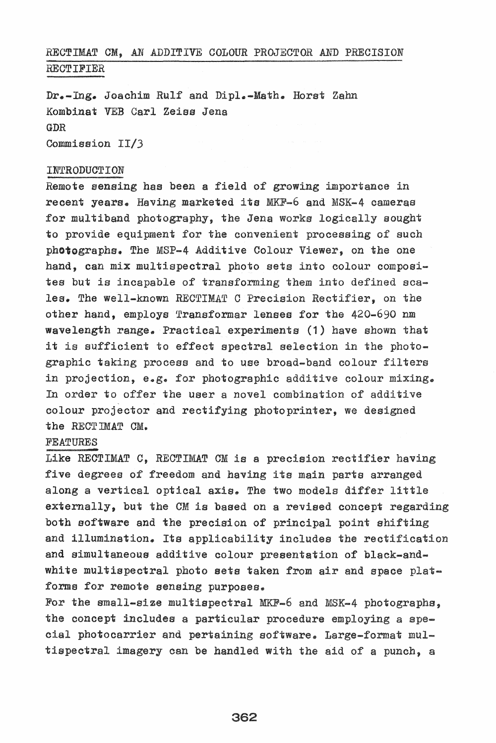# RECTIMAT CM, AN ADDITIVE COLOUR PROJECTOR AND PRECISION **RECTIFIER**

Dr.-Ing. Joachim Rulf and Dipl.-Math. Horst Zahn Kombinat VEB Carl GDR Commission II/3

# INTRODUCTION

Remote sensing has been a field of growing importance photography, the Jena works logically a to provide equipment for the convenient processing of such photographs. The MSP-4 Additive Colour Viewer, on the one hand, can mix multispectral photo sets into colour composites but is incapable of transforming them into defined scales. The well-known RECTIMAT C Preother hand, employs Transformar lenses for the 420-690 nm wavelength range. Practical experiments (1) it is sufficient to effect spec recent years. Having marketed its MKF-6 and MSK-4 cameras graphic taking process and to use broad-band colour filters in projection, e.g. for photographic additive colour mixing. In order to offer the user a novel combination of additive colour projector and rectifying photoprinter, we designed the RECTIMAT CM.

# **FEATURES**

Like RECTIMAT C, RECTIMAT CM is a precision rect: five degrees of freedom and having its main parts arranged along a vertical optical axis. The externally, but the CM is based on a revised concept both software and the precision of principal point shifting and illumination. Its applicability includes the rectification and simultaneous additive colour presentation of black-andwhite multispectral photo sets taken from air and space platforms for remote sensing purposes.

For the small-size multispectral MKF-6 and MSK-4 photographs, the concept includes a particular procedure employing a special photocarrier and pertaining software. Large-format mulcan be handled with the aid of a

362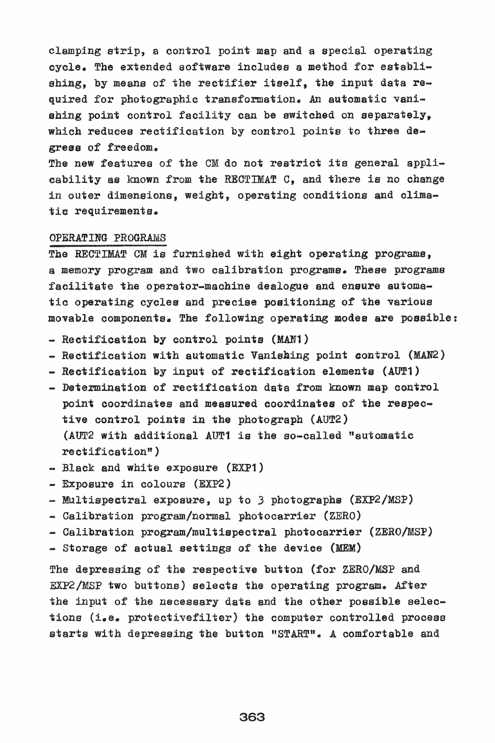clamping strip, a oontrol point map and a special operating cycle. The extended software includes a method for establishing, by means of the rectifier itself, the input data required for photographic transformation. An automatic vanishing point control facility can be switched on separately, which reduces rectification by control points to three degrass of freedom.

The new features of the CM do not restrict its general applieability as known from the RECTIMAT C, and there is no change in outer dimensions, weight, operating conditions and climatic requirements.

#### OPERATING PROGRAMS

The RECTIMAT CM is furnished with eight operating programs, a memory program and two calibration programs. These programs facilitate the operator-machine dealogue and ensure automatic operating cycles and precise positioning of the various movable components. The following operating modes are possible:

- Rectification by control points (MAN1)
- $-$  Rectification with automatic Vanishing point control (MAN2)
- Rectification by input of rectification elements (AUT1)
- Determination of rectification data from known map control point coordinates and measured coordinates of the respective control points in the photograph (AUT2) (AUT2 with additional AUT1 is the so-called "automatic rectification")
- Blaek and white exposure (EXP1)
- Exposure in colours (EXP2)
- Multispectral exposure, up to 3 photographs (EXP2/MSP)
- Calibration program/normal photocarrier (ZERO)
- Calibration program/multispeotral photooarrier (ZERO/MSP)
- Storage of actual settings of the device (MEM)

The depressing of the respective button (for ZERO/MSP and EXP2/MSP two buttons) selects tbe operating program. After the input of the necessary data and the other possible selections (i.e. protectivefilter) the computer controlled process starts with depressing the button "START". A comfortable and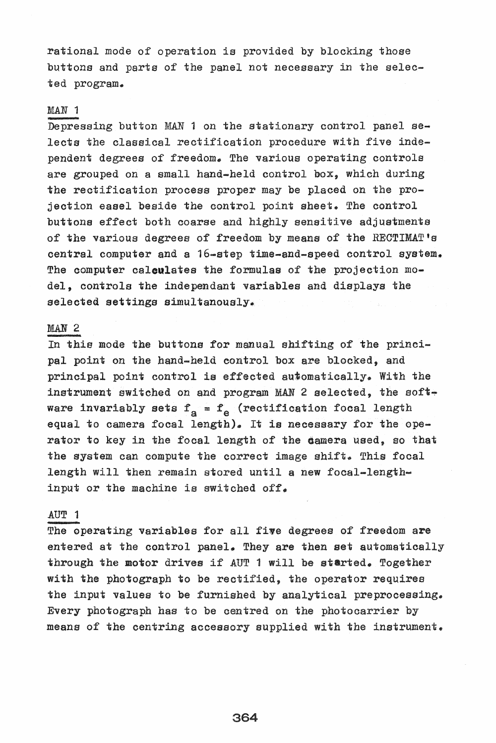rational mode of operation is provided by blocking those buttons and parts of the panel not necessary in the selected program.

# MAN 1

Depressing button MAN 1 on the stationary control panel selects the classical rectification procedure with five independent degrees of freedom. The various operating controls are grouped on a small hand-held control box, which during the rectification process proper may be placed on the projection easel beside the control point sheet. The control buttons effect both coarse and highly sensitive adjustments of the various degrees of freedom by means of the RECTIMAT's central computer and a 16-step time-and-speed control system. The computer calculates the formulas of the projection model, controls the independent variables and displays the selected settings simultanoualy.

# MAN 2

In this mode the buttons for manual shifting of the principal point on the hand-held control box are blocked, and principal point control is effected automatically. With the instrument switched on and program MAN 2 selected, the software invariably sets  $f_a = f_e$  (rectification focal length equal to camera focal length). It is necessary for the operator to key in the focal length of the camera used, so that the system can compute the correct image shift. This focal length will then remain stored until a new focal-lengthinput or the machine is switched off.

## AUT 1

The operating variables for all five degrees of freedom are entered at the control panel. They are then set automatically through the motor drives if AUT 1 will be started. Together with the photograph to be rectified, the operator requires the input values to be furnished by analytical preprocessing. Every photograph has to be centred on the photocarrier by means of the centring accessory supplied with the instrument.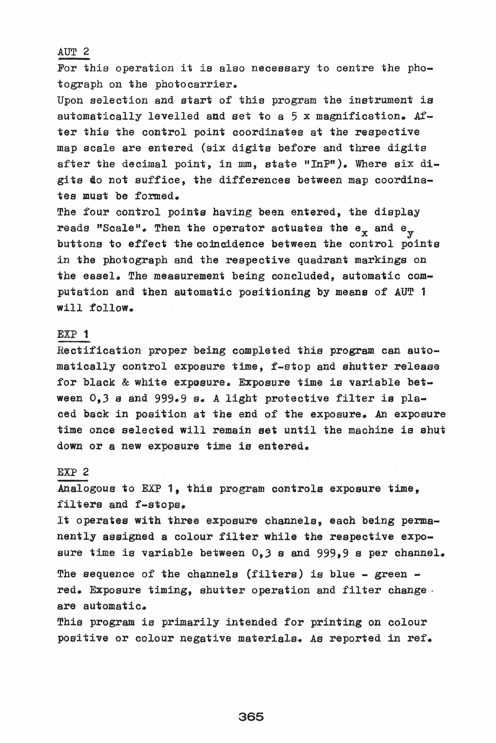AUT 2

For this operation it is also necessary to centre the photograph on the photoearrier.

Upon selection and start of this program the instrument is automatically levelled and set to a 5 x magnification. After this the control point coordinates at the respective map scale are entered (six digits before and three digits after the decimal point, in mm, state "InP"). Where six digits do not suffice, the differences between map coordinates must be formed.

The four control points having been entered, the display reads "Scale". Then the operator actuates the  $e_x$  and  $e_y$ buttons to effect the coincidence between the control points in the photograph and the respective quadrant markings on the easel. The measurement being concluded, automatic computation and then automatic positioning by mesne of AUT 1 will follow.

#### EXP 1

Rectification proper being completed this program can automatically control exposure time, f-stop and shutter release for black & white exposure. Exposure time is variable between 0,3 a and 999.9 s. A light protective filter is placed back in position at the end of the exposure. An exposure time once selected will remain Bet until the machine is shut down or a new exposure time is entered.

# EXP 2

Analogous to EXP 1, this program controls exposure time, filters and f-stops.

It operates with three exposure channels, each being permanently assigned a colour filter while the respective exposure time is variable between  $0,3$  s and 999,9 s per channel.

The sequence of the channels (filters) is blue - green red. Exposure timing, shutter operation and filter change. are automatic.

!his program is primarily intended for printing on colour positive or colour negative materials. As reported in ref.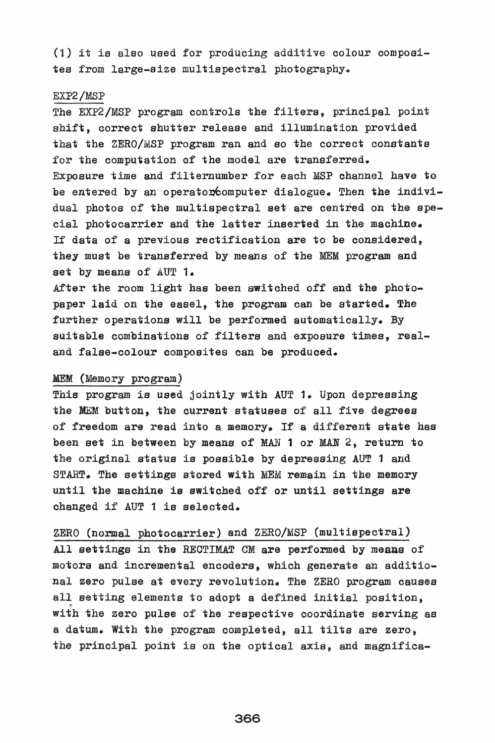(1) it is also used for producing additive colour composites from large-size multispectral photography.

## EXP2/MSP

The EXP2/MSP program controls the filters, principal point shift, correct ahutter release and illumination provided that the ZERO/MSP program ran and so the correct constants for the computation of the model are transferred. Exposure time and filternumber for each MSP ohannel have to be entered by an operator computer dialogue. Then the individual photos of the multispectral set are centred on the special photocarrier and the latter inserted in the machine. If data of a previous rectification are to be considered, they must be transferred by means of the MEM program and set by means of AUT 1.

After the room light has been switched off and the photopaper laid on the easel, the program can be started. The further operations will be performed automatically. By suitable oombinations of filters and exposure times, realand falae-colour composites can be produoed.

## MEM (Memory program)

This program is used jointly with AUT 1. Upon depressing the MEM button, the current statuses of all five degrees of freedom are read into a memory. If a different state has been Bet in between by means of MAN 1 or MAN 2, return to the original status is possible by depressing AUT 1 and START. The settings stored with MEM remain in the memory until the machine is switched off or until settings are changed if AUT 1 is selected.

ZERO (normal photooarrier) and ZERO/MSP (multispectral) All settings in the RECTIMAT CM are performed by means of motors and incremental encoders, whioh generate an additional zero pulse at every revolution. The ZERO program causes all setting elements to adopt a defined initial position, with the zero pulse of the respective coordinate serving as a datum. With the program completed, all tilts are zero, the principal point is on the optical axis, and magnifica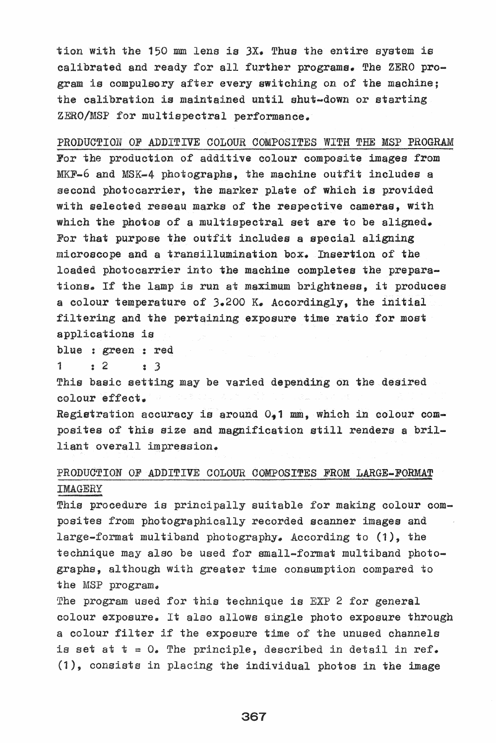tion with the 150 mm lens is  $3X<sub>s</sub>$  Thus the entire system is calibrated and ready for all further programs. The ZERO program is compulsory after every switching on of the machine; the calibration is maintained until shut-down or starting ZERO/MSP for multispeotral performance.

PRODUCTION OF ADDITIVE COLOUR COMPOSITES WITH THE MSP PROGRAM For the production of additive colour composite images from MKF-6 and MSK-4 photographs, the machine outfit includes a second photocarrier, the marker plate of which is provided with selected reseau marks of the respective cameras, with which the photos of a multispectral set are to be aligned. For that purpose the outfit includes a special aligning microscope and a transillumination box. Insertion of the loaded photocarrier into the machine completes the preparations. If the lamp is run at maximum brightness, it produces a colour temperature of 3.200 K. Accordingly, the initial filtering and the pertaining exposure time ratio for most applications is

blue : green : red

1 ..  $.3$ 

This basic setting may be varied depending on the desired colour effect.

Registration accuracy is around  $0<sub>9</sub>1$  mm, which in colour composites of this size and magnification still renders a brilliant overall impression.

# PRODUCTION OF ADDITIVE COLOUR COMPOSITES FROM LARGE-FORMAT **IMAGERY**

This procedure is principally suitable for making colour composites from photographically recorded scanner images and large-format multiband photography. According to (1), the technique may also be used for small-format multiband photographs, although with greater time consumption oompared to the MSP program.

The program used for this technique is EXP 2 for general colour exposure. It also allows single photo exposure through a colour filter if the exposure time of the unused channels is set at  $t = 0$ . The principle, described in detail in ref.  $(1)$ , consists in placing the individual photos in the image